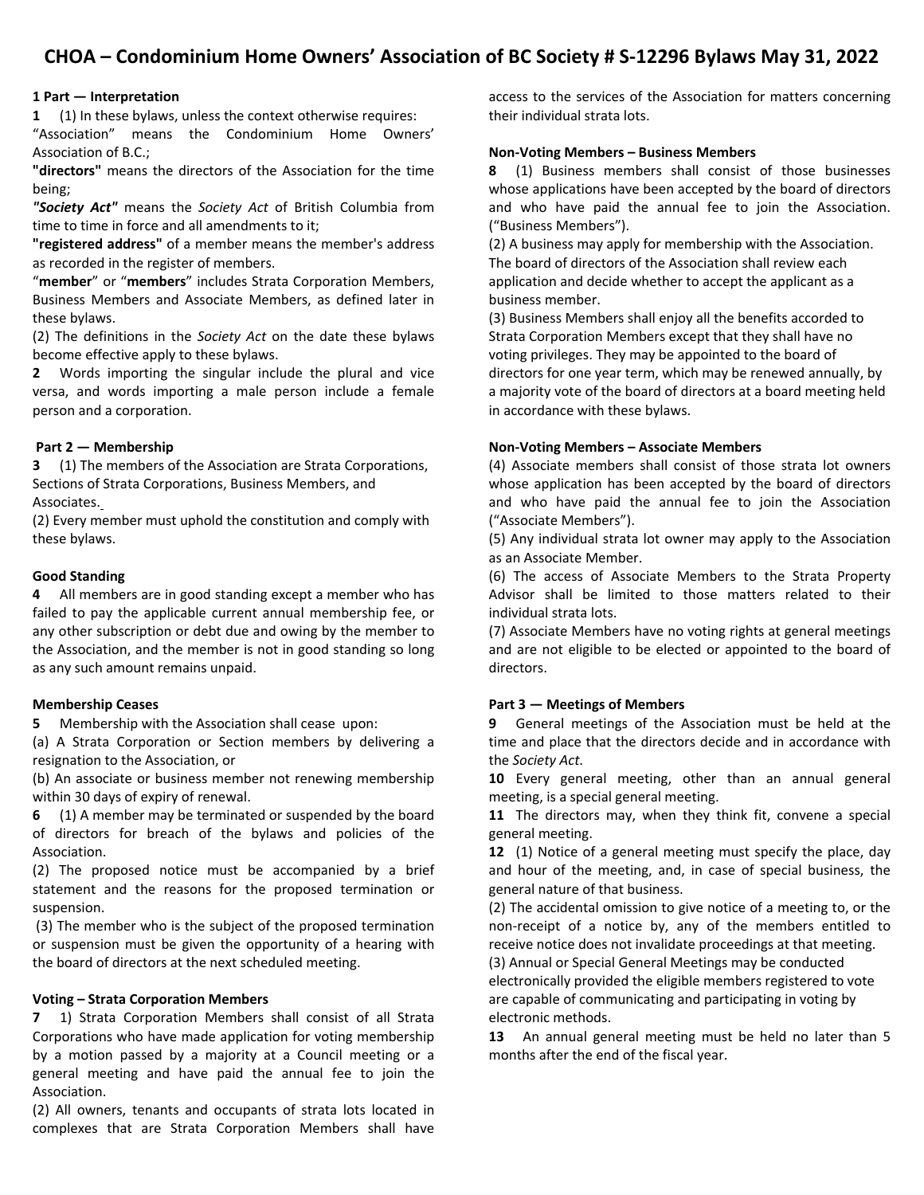# **CHOA – Condominium Home Owners' Association of BC Society # S‐12296 Bylaws May 31, 2022**

# **1 Part — Interpretation**

**1** (1) In these bylaws, unless the context otherwise requires:

"Association" means the Condominium Home Owners' Association of B.C.;

**"directors"** means the directors of the Association for the time being;

*"Society Act"* means the *Society Act* of British Columbia from time to time in force and all amendments to it;

**"registered address"** of a member means the member's address as recorded in the register of members.

"**member**" or "**members**" includes Strata Corporation Members, Business Members and Associate Members, as defined later in these bylaws.

(2) The definitions in the *Society Act* on the date these bylaws become effective apply to these bylaws.

**2** Words importing the singular include the plural and vice versa, and words importing a male person include a female person and a corporation.

# **Part 2 — Membership**

**3** (1) The members of the Association are Strata Corporations, Sections of Strata Corporations, Business Members, and Associates.

(2) Every member must uphold the constitution and comply with these bylaws.

# **Good Standing**

**4** All members are in good standing except a member who has failed to pay the applicable current annual membership fee, or any other subscription or debt due and owing by the member to the Association, and the member is not in good standing so long as any such amount remains unpaid.

# **Membership Ceases**

**5** Membership with the Association shall cease upon:

(a) A Strata Corporation or Section members by delivering a resignation to the Association, or

(b) An associate or business member not renewing membership within 30 days of expiry of renewal.

**6** (1) A member may be terminated or suspended by the board of directors for breach of the bylaws and policies of the Association.

(2) The proposed notice must be accompanied by a brief statement and the reasons for the proposed termination or suspension.

(3) The member who is the subject of the proposed termination or suspension must be given the opportunity of a hearing with the board of directors at the next scheduled meeting.

# **Voting – Strata Corporation Members**

**7** 1) Strata Corporation Members shall consist of all Strata Corporations who have made application for voting membership by a motion passed by a majority at a Council meeting or a general meeting and have paid the annual fee to join the Association.

(2) All owners, tenants and occupants of strata lots located in complexes that are Strata Corporation Members shall have access to the services of the Association for matters concerning their individual strata lots.

# **Non‐Voting Members – Business Members**

**8** (1) Business members shall consist of those businesses whose applications have been accepted by the board of directors and who have paid the annual fee to join the Association. ("Business Members").

(2) A business may apply for membership with the Association. The board of directors of the Association shall review each application and decide whether to accept the applicant as a business member.

(3) Business Members shall enjoy all the benefits accorded to Strata Corporation Members except that they shall have no voting privileges. They may be appointed to the board of directors for one year term, which may be renewed annually, by a majority vote of the board of directors at a board meeting held in accordance with these bylaws.

# **Non‐Voting Members – Associate Members**

(4) Associate members shall consist of those strata lot owners whose application has been accepted by the board of directors and who have paid the annual fee to join the Association ("Associate Members").

(5) Any individual strata lot owner may apply to the Association as an Associate Member.

(6) The access of Associate Members to the Strata Property Advisor shall be limited to those matters related to their individual strata lots.

(7) Associate Members have no voting rights at general meetings and are not eligible to be elected or appointed to the board of directors.

# **Part 3 — Meetings of Members**

**9** General meetings of the Association must be held at the time and place that the directors decide and in accordance with the *Society Act*.

**10** Every general meeting, other than an annual general meeting, is a special general meeting.

**11** The directors may, when they think fit, convene a special general meeting.

**12** (1) Notice of a general meeting must specify the place, day and hour of the meeting, and, in case of special business, the general nature of that business.

(2) The accidental omission to give notice of a meeting to, or the non‐receipt of a notice by, any of the members entitled to receive notice does not invalidate proceedings at that meeting. (3) Annual or Special General Meetings may be conducted

electronically provided the eligible members registered to vote are capable of communicating and participating in voting by electronic methods.

**13** An annual general meeting must be held no later than 5 months after the end of the fiscal year.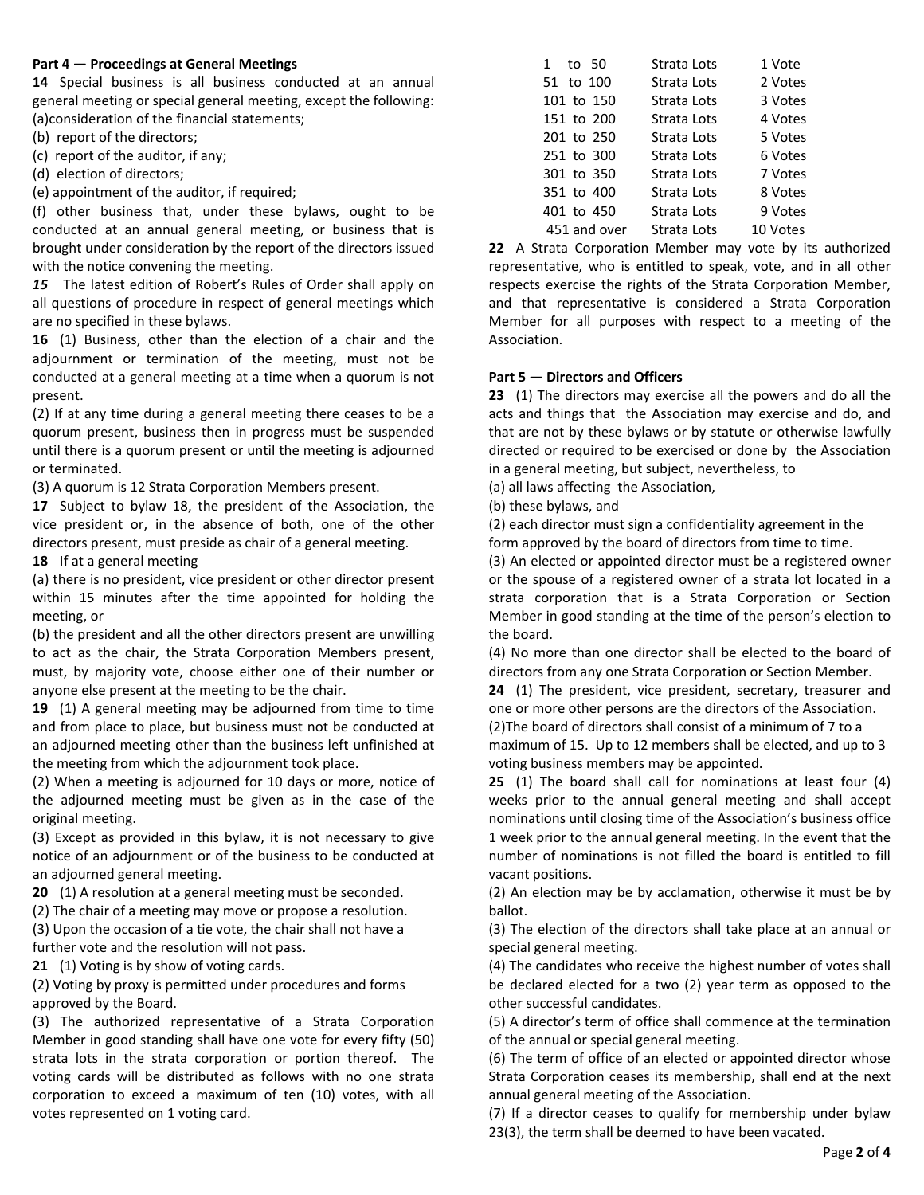#### **Part 4 — Proceedings at General Meetings**

**14** Special business is all business conducted at an annual general meeting or special general meeting, except the following: (a)consideration of the financial statements;

(b) report of the directors;

(c) report of the auditor, if any;

(d) election of directors;

(e) appointment of the auditor, if required;

(f) other business that, under these bylaws, ought to be conducted at an annual general meeting, or business that is brought under consideration by the report of the directors issued with the notice convening the meeting.

*15* The latest edition of Robert's Rules of Order shall apply on all questions of procedure in respect of general meetings which are no specified in these bylaws.

**16** (1) Business, other than the election of a chair and the adjournment or termination of the meeting, must not be conducted at a general meeting at a time when a quorum is not present.

(2) If at any time during a general meeting there ceases to be a quorum present, business then in progress must be suspended until there is a quorum present or until the meeting is adjourned or terminated.

(3) A quorum is 12 Strata Corporation Members present.

**17** Subject to bylaw 18, the president of the Association, the vice president or, in the absence of both, one of the other directors present, must preside as chair of a general meeting.

**18** If at a general meeting

(a) there is no president, vice president or other director present within 15 minutes after the time appointed for holding the meeting, or

(b) the president and all the other directors present are unwilling to act as the chair, the Strata Corporation Members present, must, by majority vote, choose either one of their number or anyone else present at the meeting to be the chair.

**19** (1) A general meeting may be adjourned from time to time and from place to place, but business must not be conducted at an adjourned meeting other than the business left unfinished at the meeting from which the adjournment took place.

(2) When a meeting is adjourned for 10 days or more, notice of the adjourned meeting must be given as in the case of the original meeting.

(3) Except as provided in this bylaw, it is not necessary to give notice of an adjournment or of the business to be conducted at an adjourned general meeting.

**20** (1) A resolution at a general meeting must be seconded.

(2) The chair of a meeting may move or propose a resolution.

(3) Upon the occasion of a tie vote, the chair shall not have a further vote and the resolution will not pass.

**21** (1) Voting is by show of voting cards.

(2) Voting by proxy is permitted under procedures and forms approved by the Board.

(3) The authorized representative of a Strata Corporation Member in good standing shall have one vote for every fifty (50) strata lots in the strata corporation or portion thereof. The voting cards will be distributed as follows with no one strata corporation to exceed a maximum of ten (10) votes, with all votes represented on 1 voting card.

| to 50<br>1   | Strata Lots | 1 Vote   |
|--------------|-------------|----------|
| 51 to 100    | Strata Lots | 2 Votes  |
| 101 to 150   | Strata Lots | 3 Votes  |
| 151 to 200   | Strata Lots | 4 Votes  |
| 201 to 250   | Strata Lots | 5 Votes  |
| 251 to 300   | Strata Lots | 6 Votes  |
| 301 to 350   | Strata Lots | 7 Votes  |
| 351 to 400   | Strata Lots | 8 Votes  |
| 401 to 450   | Strata Lots | 9 Votes  |
| 451 and over | Strata Lots | 10 Votes |
|              |             |          |

**22** A Strata Corporation Member may vote by its authorized representative, who is entitled to speak, vote, and in all other respects exercise the rights of the Strata Corporation Member, and that representative is considered a Strata Corporation Member for all purposes with respect to a meeting of the Association.

# **Part 5 — Directors and Officers**

**23** (1) The directors may exercise all the powers and do all the acts and things that the Association may exercise and do, and that are not by these bylaws or by statute or otherwise lawfully directed or required to be exercised or done by the Association in a general meeting, but subject, nevertheless, to

(a) all laws affecting the Association,

(b) these bylaws, and

(2) each director must sign a confidentiality agreement in the

form approved by the board of directors from time to time.

(3) An elected or appointed director must be a registered owner or the spouse of a registered owner of a strata lot located in a strata corporation that is a Strata Corporation or Section Member in good standing at the time of the person's election to the board.

(4) No more than one director shall be elected to the board of directors from any one Strata Corporation or Section Member.

**24** (1) The president, vice president, secretary, treasurer and one or more other persons are the directors of the Association.

(2)The board of directors shall consist of a minimum of 7 to a maximum of 15. Up to 12 members shall be elected, and up to 3 voting business members may be appointed.

**25** (1) The board shall call for nominations at least four (4) weeks prior to the annual general meeting and shall accept nominations until closing time of the Association's business office 1 week prior to the annual general meeting. In the event that the number of nominations is not filled the board is entitled to fill vacant positions.

(2) An election may be by acclamation, otherwise it must be by ballot.

(3) The election of the directors shall take place at an annual or special general meeting.

(4) The candidates who receive the highest number of votes shall be declared elected for a two (2) year term as opposed to the other successful candidates.

(5) A director's term of office shall commence at the termination of the annual or special general meeting.

(6) The term of office of an elected or appointed director whose Strata Corporation ceases its membership, shall end at the next annual general meeting of the Association.

(7) If a director ceases to qualify for membership under bylaw 23(3), the term shall be deemed to have been vacated.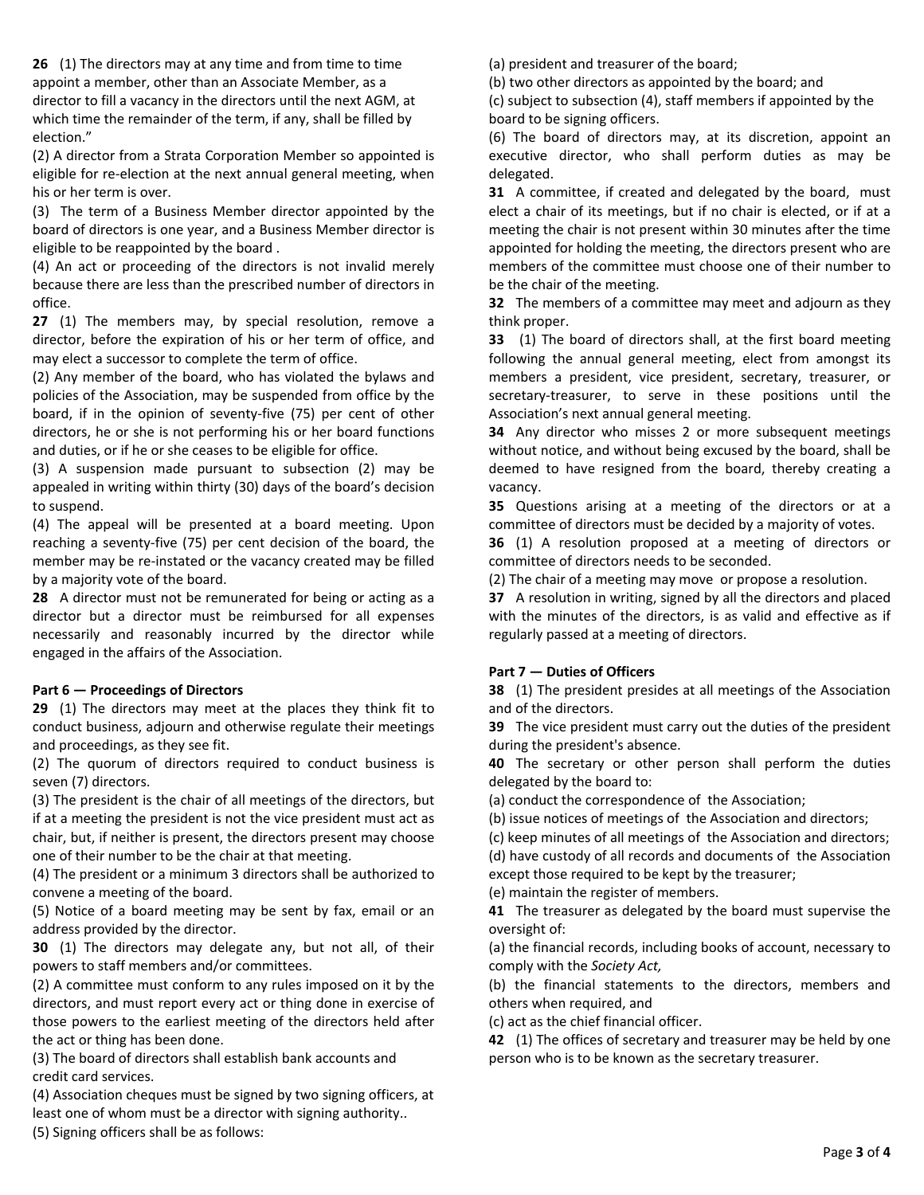**26** (1) The directors may at any time and from time to time appoint a member, other than an Associate Member, as a director to fill a vacancy in the directors until the next AGM, at which time the remainder of the term, if any, shall be filled by election."

(2) A director from a Strata Corporation Member so appointed is eligible for re‐election at the next annual general meeting, when his or her term is over.

(3) The term of a Business Member director appointed by the board of directors is one year, and a Business Member director is eligible to be reappointed by the board .

(4) An act or proceeding of the directors is not invalid merely because there are less than the prescribed number of directors in office.

**27** (1) The members may, by special resolution, remove a director, before the expiration of his or her term of office, and may elect a successor to complete the term of office.

(2) Any member of the board, who has violated the bylaws and policies of the Association, may be suspended from office by the board, if in the opinion of seventy‐five (75) per cent of other directors, he or she is not performing his or her board functions and duties, or if he or she ceases to be eligible for office.

(3) A suspension made pursuant to subsection (2) may be appealed in writing within thirty (30) days of the board's decision to suspend.

(4) The appeal will be presented at a board meeting. Upon reaching a seventy‐five (75) per cent decision of the board, the member may be re‐instated or the vacancy created may be filled by a majority vote of the board.

**28** A director must not be remunerated for being or acting as a director but a director must be reimbursed for all expenses necessarily and reasonably incurred by the director while engaged in the affairs of the Association.

# **Part 6 — Proceedings of Directors**

**29** (1) The directors may meet at the places they think fit to conduct business, adjourn and otherwise regulate their meetings and proceedings, as they see fit.

(2) The quorum of directors required to conduct business is seven (7) directors.

(3) The president is the chair of all meetings of the directors, but if at a meeting the president is not the vice president must act as chair, but, if neither is present, the directors present may choose one of their number to be the chair at that meeting.

(4) The president or a minimum 3 directors shall be authorized to convene a meeting of the board.

(5) Notice of a board meeting may be sent by fax, email or an address provided by the director.

**30** (1) The directors may delegate any, but not all, of their powers to staff members and/or committees.

(2) A committee must conform to any rules imposed on it by the directors, and must report every act or thing done in exercise of those powers to the earliest meeting of the directors held after the act or thing has been done.

(3) The board of directors shall establish bank accounts and credit card services.

(4) Association cheques must be signed by two signing officers, at least one of whom must be a director with signing authority..

(5) Signing officers shall be as follows:

(a) president and treasurer of the board;

(b) two other directors as appointed by the board; and

(c) subject to subsection (4), staff members if appointed by the board to be signing officers.

(6) The board of directors may, at its discretion, appoint an executive director, who shall perform duties as may be delegated.

**31** A committee, if created and delegated by the board, must elect a chair of its meetings, but if no chair is elected, or if at a meeting the chair is not present within 30 minutes after the time appointed for holding the meeting, the directors present who are members of the committee must choose one of their number to be the chair of the meeting.

**32** The members of a committee may meet and adjourn as they think proper.

**33** (1) The board of directors shall, at the first board meeting following the annual general meeting, elect from amongst its members a president, vice president, secretary, treasurer, or secretary-treasurer, to serve in these positions until the Association's next annual general meeting.

**34** Any director who misses 2 or more subsequent meetings without notice, and without being excused by the board, shall be deemed to have resigned from the board, thereby creating a vacancy.

**35** Questions arising at a meeting of the directors or at a committee of directors must be decided by a majority of votes.

**36** (1) A resolution proposed at a meeting of directors or committee of directors needs to be seconded.

(2) The chair of a meeting may move or propose a resolution.

**37** A resolution in writing, signed by all the directors and placed with the minutes of the directors, is as valid and effective as if regularly passed at a meeting of directors.

# **Part 7 — Duties of Officers**

**38** (1) The president presides at all meetings of the Association and of the directors.

**39** The vice president must carry out the duties of the president during the president's absence.

**40** The secretary or other person shall perform the duties delegated by the board to:

(a) conduct the correspondence of the Association;

(b) issue notices of meetings of the Association and directors;

(c) keep minutes of all meetings of the Association and directors;

(d) have custody of all records and documents of the Association except those required to be kept by the treasurer;

(e) maintain the register of members.

**41** The treasurer as delegated by the board must supervise the oversight of:

(a) the financial records, including books of account, necessary to comply with the *Society Act,*

(b) the financial statements to the directors, members and others when required, and

(c) act as the chief financial officer.

**42** (1) The offices of secretary and treasurer may be held by one person who is to be known as the secretary treasurer.